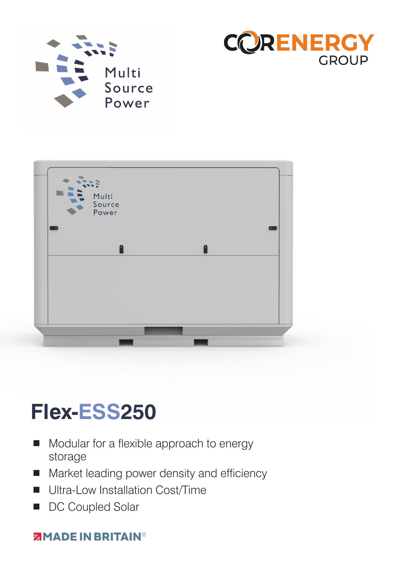





# **Flex-ESS250**

- Modular for a flexible approach to energy storage
- **Market leading power density and efficiency**
- **Ultra-Low Installation Cost/Time**
- DC Coupled Solar

### **ZIMADE IN BRITAIN®**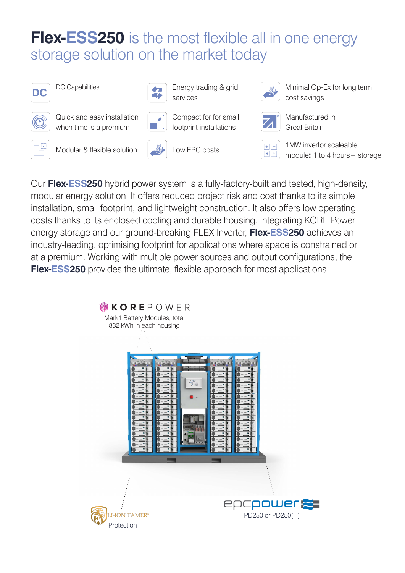### **Flex-ESS250** is the most flexible all in one energy storage solution on the market today





DC Capabilities Energy trading & grid services



Minimal Op-Ex for long term cost savings



Quick and easy installation when time is a premium



Compact for for small footprint installations



Manufactured in Great Britain



Modular & flexible solution Low EPC costs 1MW invertor scaleable







module**:** 1 to 4 hours+ storage

Our **Flex-ESS250** hybrid power system is a fully-factory-built and tested, high-density, modular energy solution. It offers reduced project risk and cost thanks to its simple installation, small footprint, and lightweight construction. It also offers low operating costs thanks to its enclosed cooling and durable housing. Integrating KORE Power energy storage and our ground-breaking FLEX Inverter, **Flex-ESS250** achieves an industry-leading, optimising footprint for applications where space is constrained or at a premium. Working with multiple power sources and output configurations, the **Flex-ESS250** provides the ultimate, flexible approach for most applications.

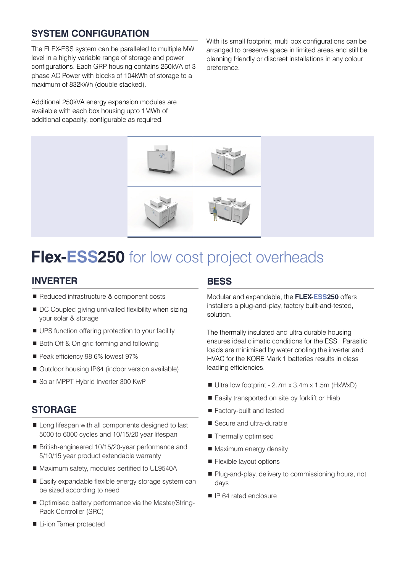### **SYSTEM CONFIGURATION**

The FLEX-ESS system can be paralleled to multiple MW level in a highly variable range of storage and power configurations. Each GRP housing contains 250kVA of 3 phase AC Power with blocks of 104kWh of storage to a maximum of 832kWh (double stacked).

Additional 250kVA energy expansion modules are available with each box housing upto 1MWh of additional capacity, configurable as required.

With its small footprint, multi box configurations can be arranged to preserve space in limited areas and still be planning friendly or discreet installations in any colour preference.



### **Flex-ESS250** for low cost project overheads

#### **INVERTER**

- Reduced infrastructure & component costs
- DC Coupled giving unrivalled flexibility when sizing your solar & storage
- UPS function offering protection to your facility
- Both Off & On grid forming and following
- Peak efficiency 98.6% lowest 97%
- Outdoor housing IP64 (indoor version available)
- Solar MPPT Hybrid Inverter 300 KwP

#### **STORAGE**

- Long lifespan with all components designed to last 5000 to 6000 cycles and 10/15/20 year lifespan
- British-engineered 10/15/20-year performance and 5/10/15 year product extendable warranty
- Maximum safety, modules certified to UL9540A
- Easily expandable flexible energy storage system can be sized according to need
- Optimised battery performance via the Master/String-Rack Controller (SRC)

#### **Li-ion Tamer protected**

#### **BESS**

Modular and expandable, the **FLEX-ESS250** offers installers a plug-and-play, factory built-and-tested, solution.

The thermally insulated and ultra durable housing ensures ideal climatic conditions for the ESS. Parasitic loads are minimised by water cooling the inverter and HVAC for the KORE Mark 1 batteries results in class leading efficiencies.

- $\blacksquare$  Ultra low footprint 2.7m x 3.4m x 1.5m (HxWxD)
- Easily transported on site by forklift or Hiab
- Factory-built and tested
- Secure and ultra-durable
- Thermally optimised
- Maximum energy density
- **Flexible layout options**
- Plug-and-play, delivery to commissioning hours, not days
- **I** IP 64 rated enclosure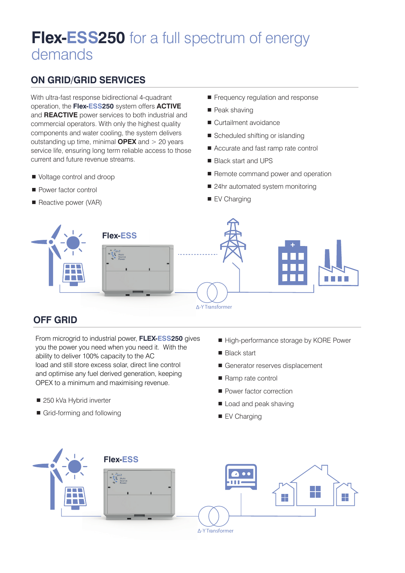### **Flex-ESS250** for a full spectrum of energy demands

### **ON GRID/GRID SERVICES**

With ultra-fast response bidirectional 4-quadrant operation, the **Flex-ESS250** system offers **ACTIVE** and **REACTIVE** power services to both industrial and commercial operators. With only the highest quality components and water cooling, the system delivers outstanding up time, minimal **OPEX** and > 20 years service life, ensuring long term reliable access to those current and future revenue streams.

- Voltage control and droop
- **Power factor control**
- Reactive power (VAR)
- Frequency regulation and response
- Peak shaving
- Curtailment avoidance
- Scheduled shifting or islanding
- Accurate and fast ramp rate control
- Black start and UPS
- Remote command power and operation
- 24hr automated system monitoring
- EV Charging



### **OFF GRID**

From microgrid to industrial power, **FLEX-ESS250** gives you the power you need when you need it. With the ability to deliver 100% capacity to the AC load and still store excess solar, direct line control and optimise any fuel derived generation, keeping OPEX to a minimum and maximising revenue.

- 250 kVa Hybrid inverter
- Grid-forming and following
- High-performance storage by KORE Power
- **Black start**
- Generator reserves displacement
- Ramp rate control
- **Power factor correction**
- Load and peak shaving
- EV Charging

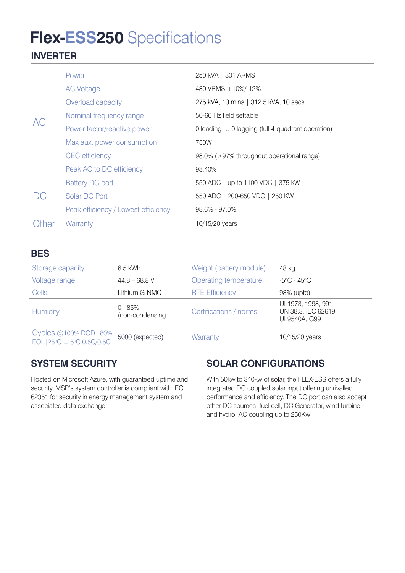## **Flex-ESS250** Specifications

### **INVERTER**

| AC        | Power                               | 250 kVA   301 ARMS                               |  |
|-----------|-------------------------------------|--------------------------------------------------|--|
|           | <b>AC Voltage</b>                   | 480 VRMS + 10%/-12%                              |  |
|           | Overload capacity                   | 275 kVA, 10 mins   312.5 kVA, 10 secs            |  |
|           | Nominal frequency range             | 50-60 Hz field settable                          |  |
|           | Power factor/reactive power         | 0 leading  0 lagging (full 4-quadrant operation) |  |
|           | Max aux. power consumption          | 750W                                             |  |
|           | <b>CEC</b> efficiency               | 98.0% (>97% throughout operational range)        |  |
|           | Peak AC to DC efficiency            | 98.40%                                           |  |
| $\bigcup$ | <b>Battery DC port</b>              | 550 ADC   up to 1100 VDC   375 kW                |  |
|           | Solar DC Port                       | 550 ADC   200-650 VDC   250 KW                   |  |
|           | Peak efficiency / Lowest efficiency | $98.6\% - 97.0\%$                                |  |
| Other     | Warranty                            | 10/15/20 years                                   |  |

### **BES**

| Storage capacity                                       | $6.5$ kWh                    | Weight (battery module) | 48 kg                                                   |
|--------------------------------------------------------|------------------------------|-------------------------|---------------------------------------------------------|
| Voltage range                                          | $44.8 - 68.8$ V              | Operating temperature   | -5°C - 45°C                                             |
| <b>Cells</b>                                           | Lithium G-NMC                | <b>RTE Efficiency</b>   | 98% (upto)                                              |
| <b>Humidity</b>                                        | $0 - 85%$<br>(non-condensing | Certifications / norms  | UL1973, 1998, 991<br>UN 38.3, IEC 62619<br>UL9540A, G99 |
| Cycles @100% DOD   80%<br>$EOL 25°C \pm 5°C 0.5C/0.5C$ | 5000 (expected)              | Warranty                | 10/15/20 years                                          |

### **SYSTEM SECURITY**

Hosted on Microsoft Azure, with guaranteed uptime and security, MSP's system controller is compliant with IEC 62351 for security in energy management system and associated data exchange.

### **SOLAR CONFIGURATIONS**

With 50kw to 340kw of solar, the FLEX-ESS offers a fully integrated DC coupled solar input offering unrivalled performance and efficiency. The DC port can also accept other DC sources; fuel cell, DC Generator, wind turbine, and hydro. AC coupling up to 250Kw